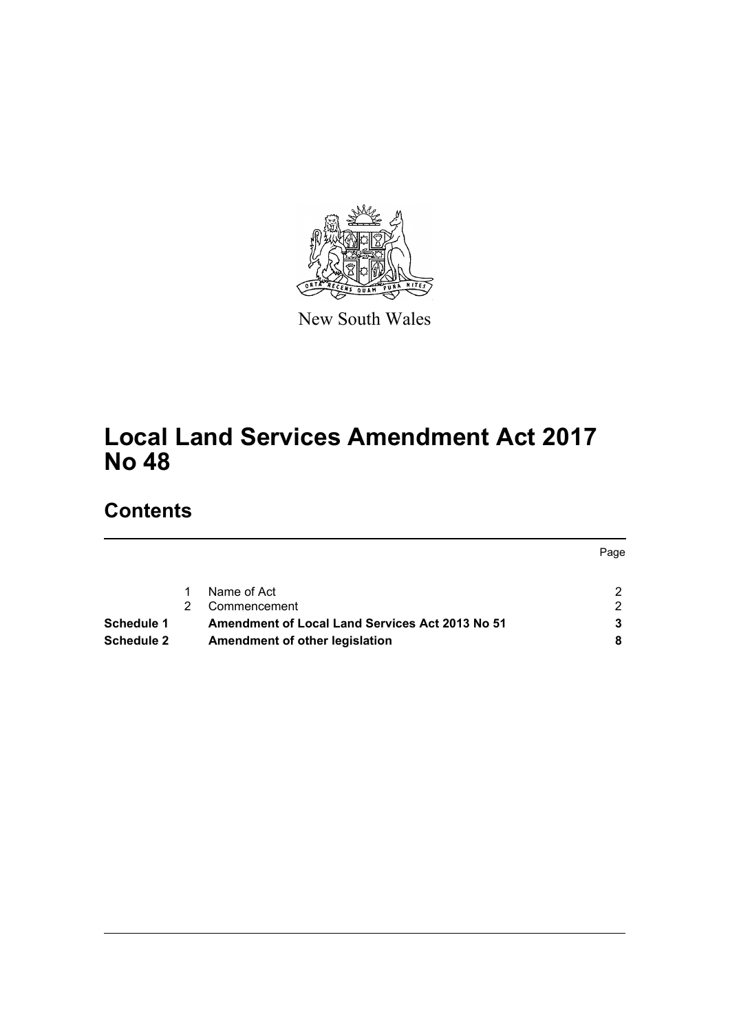

New South Wales

# **Local Land Services Amendment Act 2017 No 48**

# **Contents**

|                                                        | rage |
|--------------------------------------------------------|------|
| Name of Act                                            |      |
| Commencement                                           | າ    |
| <b>Amendment of Local Land Services Act 2013 No 51</b> |      |
| Amendment of other legislation                         |      |
|                                                        |      |

Page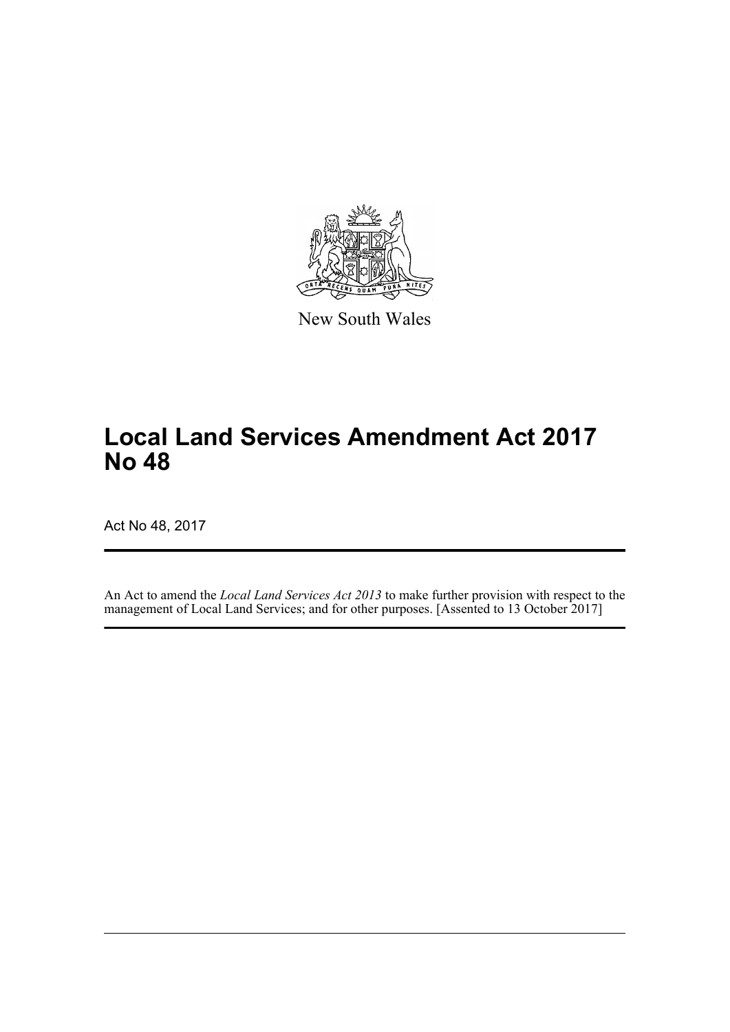

New South Wales

# **Local Land Services Amendment Act 2017 No 48**

Act No 48, 2017

An Act to amend the *Local Land Services Act 2013* to make further provision with respect to the management of Local Land Services; and for other purposes. [Assented to 13 October 2017]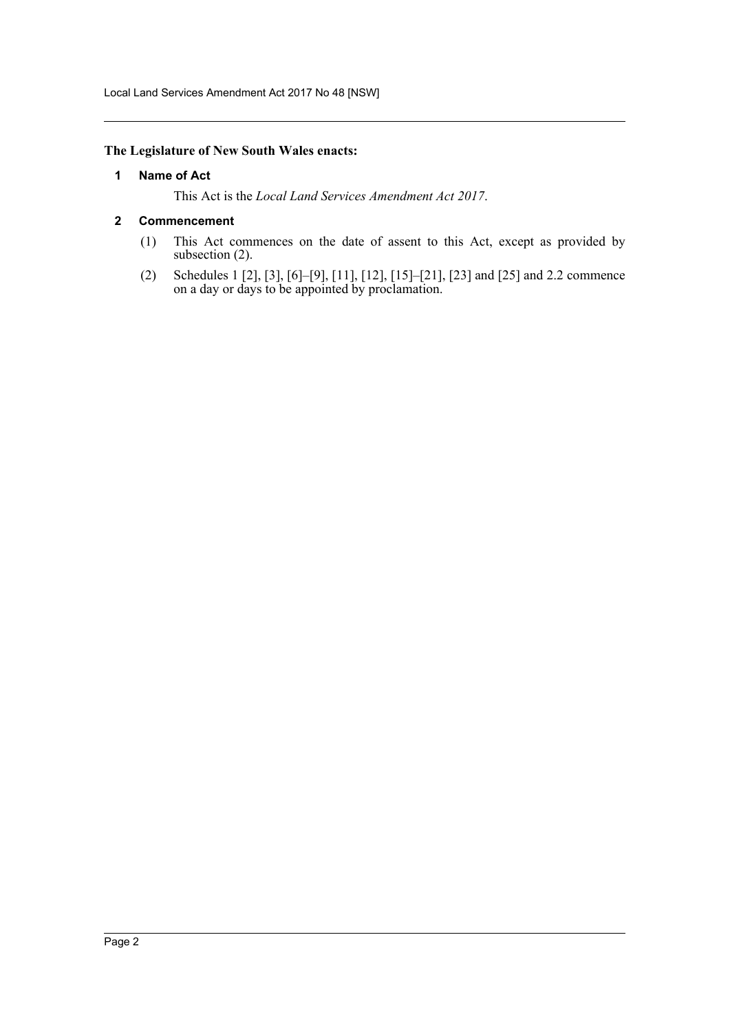Local Land Services Amendment Act 2017 No 48 [NSW]

## <span id="page-2-0"></span>**The Legislature of New South Wales enacts:**

#### **1 Name of Act**

This Act is the *Local Land Services Amendment Act 2017*.

#### <span id="page-2-1"></span>**2 Commencement**

- (1) This Act commences on the date of assent to this Act, except as provided by subsection (2).
- (2) Schedules 1 [2], [3], [6]–[9], [11], [12], [15]–[21], [23] and [25] and 2.2 commence on a day or days to be appointed by proclamation.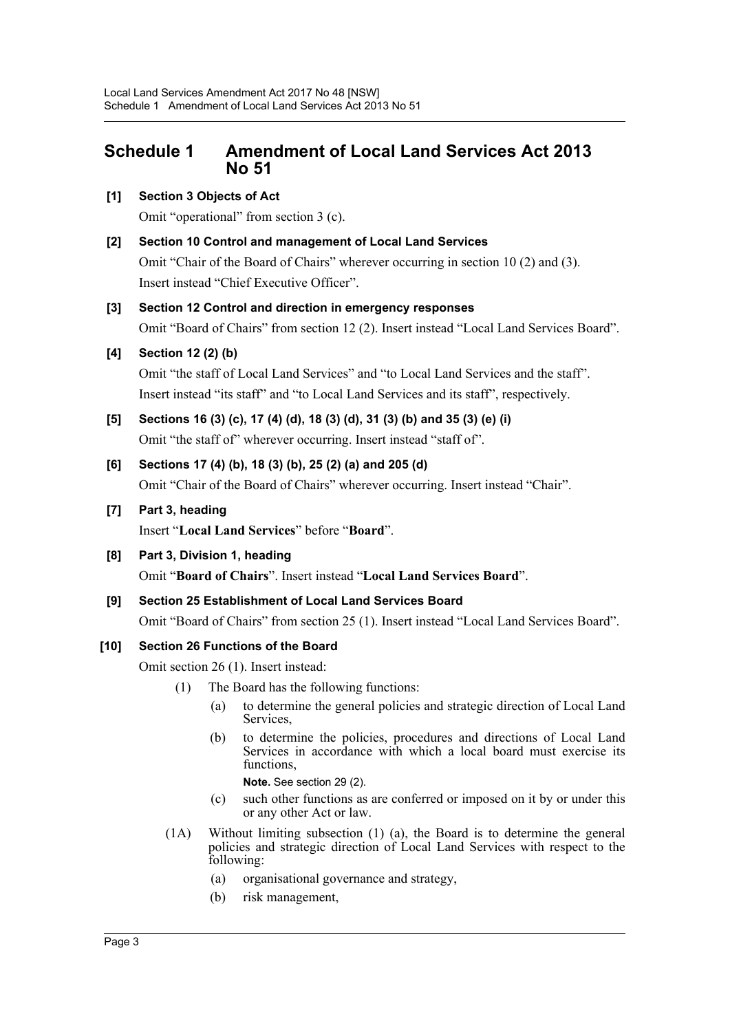# <span id="page-3-0"></span>**Schedule 1 Amendment of Local Land Services Act 2013 No 51**

## **[1] Section 3 Objects of Act**

Omit "operational" from section 3 (c).

**[2] Section 10 Control and management of Local Land Services**

Omit "Chair of the Board of Chairs" wherever occurring in section 10 (2) and (3). Insert instead "Chief Executive Officer".

## **[3] Section 12 Control and direction in emergency responses**

Omit "Board of Chairs" from section 12 (2). Insert instead "Local Land Services Board".

## **[4] Section 12 (2) (b)**

Omit "the staff of Local Land Services" and "to Local Land Services and the staff". Insert instead "its staff" and "to Local Land Services and its staff", respectively.

**[5] Sections 16 (3) (c), 17 (4) (d), 18 (3) (d), 31 (3) (b) and 35 (3) (e) (i)** Omit "the staff of" wherever occurring. Insert instead "staff of".

## **[6] Sections 17 (4) (b), 18 (3) (b), 25 (2) (a) and 205 (d)**

Omit "Chair of the Board of Chairs" wherever occurring. Insert instead "Chair".

## **[7] Part 3, heading**

Insert "**Local Land Services**" before "**Board**".

## **[8] Part 3, Division 1, heading**

Omit "**Board of Chairs**". Insert instead "**Local Land Services Board**".

**[9] Section 25 Establishment of Local Land Services Board**

Omit "Board of Chairs" from section 25 (1). Insert instead "Local Land Services Board".

## **[10] Section 26 Functions of the Board**

Omit section 26 (1). Insert instead:

- (1) The Board has the following functions:
	- (a) to determine the general policies and strategic direction of Local Land Services,
	- (b) to determine the policies, procedures and directions of Local Land Services in accordance with which a local board must exercise its functions.

**Note.** See section 29 (2).

- (c) such other functions as are conferred or imposed on it by or under this or any other Act or law.
- (1A) Without limiting subsection (1) (a), the Board is to determine the general policies and strategic direction of Local Land Services with respect to the following:
	- (a) organisational governance and strategy,
	- (b) risk management,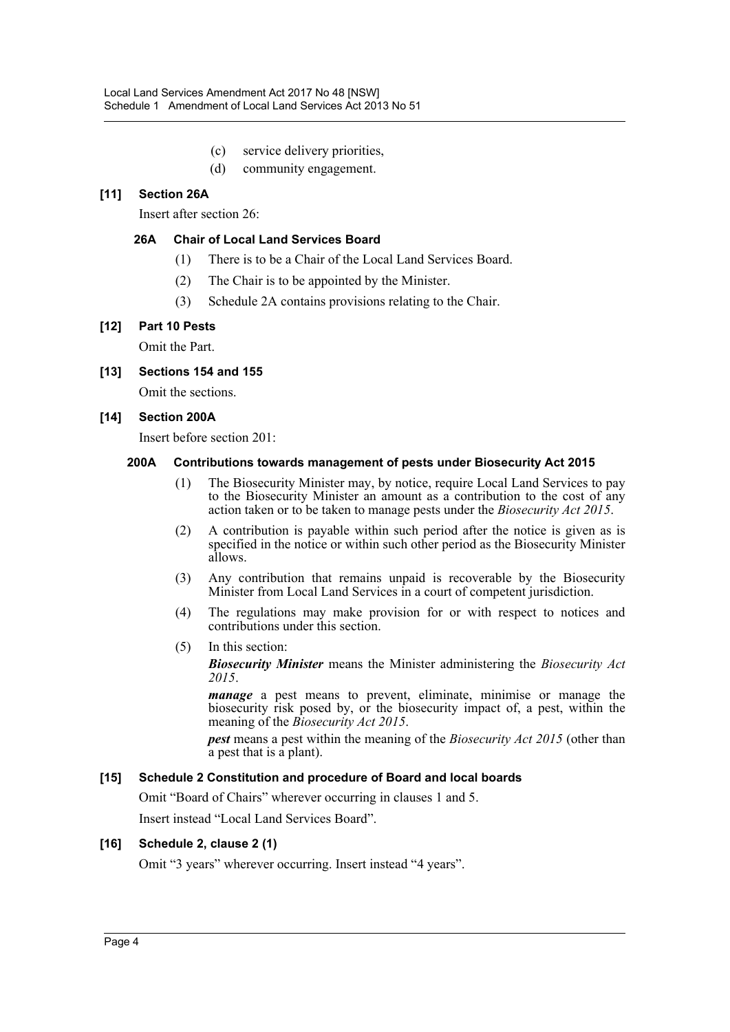- (c) service delivery priorities,
- (d) community engagement.

## **[11] Section 26A**

Insert after section 26:

## **26A Chair of Local Land Services Board**

- (1) There is to be a Chair of the Local Land Services Board.
- (2) The Chair is to be appointed by the Minister.
- (3) Schedule 2A contains provisions relating to the Chair.

#### **[12] Part 10 Pests**

Omit the Part.

#### **[13] Sections 154 and 155**

Omit the sections.

#### **[14] Section 200A**

Insert before section 201:

#### **200A Contributions towards management of pests under Biosecurity Act 2015**

- (1) The Biosecurity Minister may, by notice, require Local Land Services to pay to the Biosecurity Minister an amount as a contribution to the cost of any action taken or to be taken to manage pests under the *Biosecurity Act 2015*.
- (2) A contribution is payable within such period after the notice is given as is specified in the notice or within such other period as the Biosecurity Minister allows.
- (3) Any contribution that remains unpaid is recoverable by the Biosecurity Minister from Local Land Services in a court of competent jurisdiction.
- (4) The regulations may make provision for or with respect to notices and contributions under this section.
- (5) In this section:

*Biosecurity Minister* means the Minister administering the *Biosecurity Act 2015*.

*manage* a pest means to prevent, eliminate, minimise or manage the biosecurity risk posed by, or the biosecurity impact of, a pest, within the meaning of the *Biosecurity Act 2015*.

*pest* means a pest within the meaning of the *Biosecurity Act 2015* (other than a pest that is a plant).

#### **[15] Schedule 2 Constitution and procedure of Board and local boards**

Omit "Board of Chairs" wherever occurring in clauses 1 and 5.

Insert instead "Local Land Services Board".

#### **[16] Schedule 2, clause 2 (1)**

Omit "3 years" wherever occurring. Insert instead "4 years".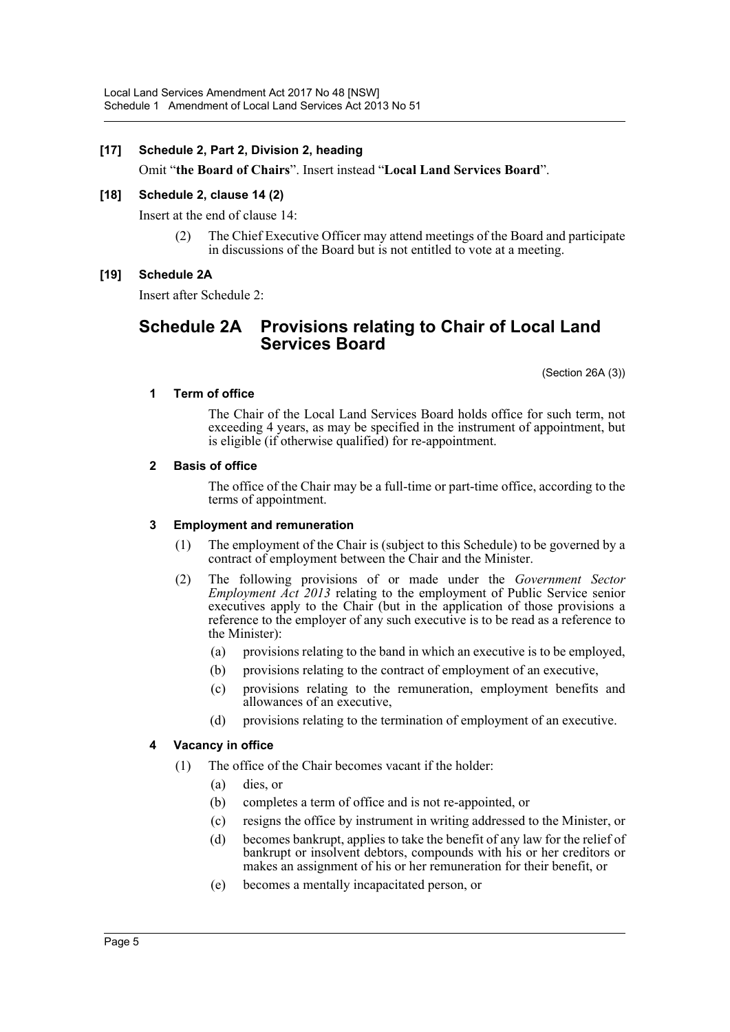## **[17] Schedule 2, Part 2, Division 2, heading**

Omit "**the Board of Chairs**". Insert instead "**Local Land Services Board**".

#### **[18] Schedule 2, clause 14 (2)**

Insert at the end of clause 14:

(2) The Chief Executive Officer may attend meetings of the Board and participate in discussions of the Board but is not entitled to vote at a meeting.

## **[19] Schedule 2A**

Insert after Schedule 2:

# **Schedule 2A Provisions relating to Chair of Local Land Services Board**

(Section 26A (3))

#### **1 Term of office**

The Chair of the Local Land Services Board holds office for such term, not exceeding 4 years, as may be specified in the instrument of appointment, but is eligible (if otherwise qualified) for re-appointment.

#### **2 Basis of office**

The office of the Chair may be a full-time or part-time office, according to the terms of appointment.

#### **3 Employment and remuneration**

- (1) The employment of the Chair is (subject to this Schedule) to be governed by a contract of employment between the Chair and the Minister.
- (2) The following provisions of or made under the *Government Sector Employment Act 2013* relating to the employment of Public Service senior executives apply to the Chair (but in the application of those provisions a reference to the employer of any such executive is to be read as a reference to the Minister):
	- (a) provisions relating to the band in which an executive is to be employed,
	- (b) provisions relating to the contract of employment of an executive,
	- (c) provisions relating to the remuneration, employment benefits and allowances of an executive,
	- (d) provisions relating to the termination of employment of an executive.

#### **4 Vacancy in office**

- (1) The office of the Chair becomes vacant if the holder:
	- (a) dies, or
	- (b) completes a term of office and is not re-appointed, or
	- (c) resigns the office by instrument in writing addressed to the Minister, or
	- (d) becomes bankrupt, applies to take the benefit of any law for the relief of bankrupt or insolvent debtors, compounds with his or her creditors or makes an assignment of his or her remuneration for their benefit, or
	- (e) becomes a mentally incapacitated person, or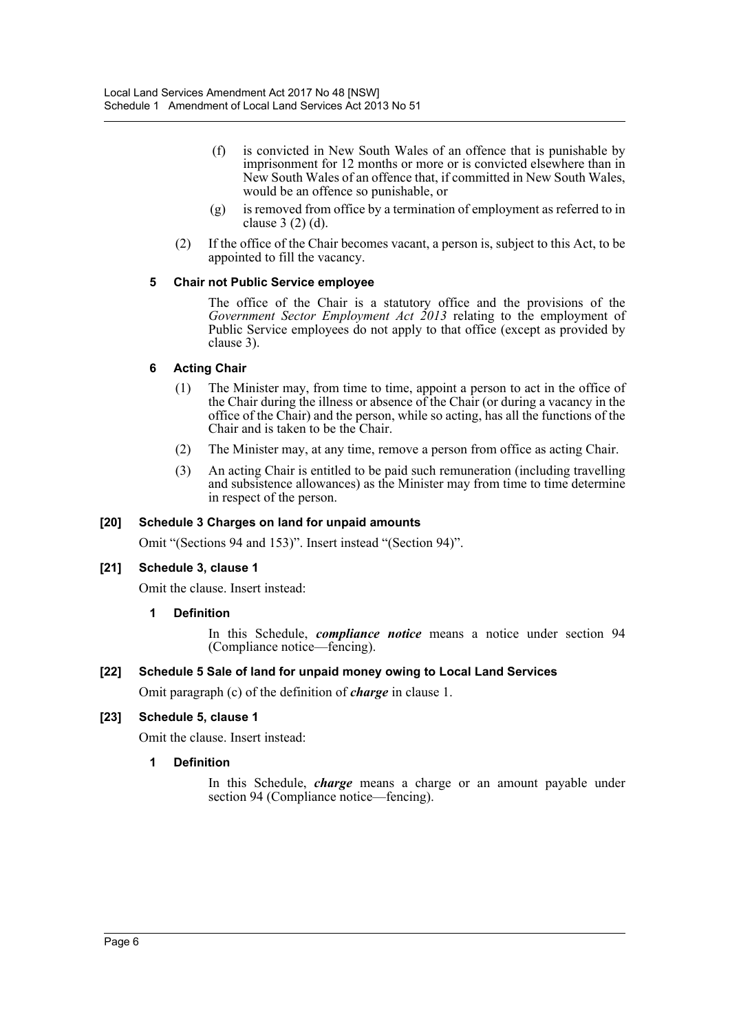- (f) is convicted in New South Wales of an offence that is punishable by imprisonment for 12 months or more or is convicted elsewhere than in New South Wales of an offence that, if committed in New South Wales, would be an offence so punishable, or
- (g) is removed from office by a termination of employment as referred to in clause 3 (2) (d).
- (2) If the office of the Chair becomes vacant, a person is, subject to this Act, to be appointed to fill the vacancy.

#### **5 Chair not Public Service employee**

The office of the Chair is a statutory office and the provisions of the *Government Sector Employment Act 2013* relating to the employment of Public Service employees do not apply to that office (except as provided by clause 3).

## **6 Acting Chair**

- (1) The Minister may, from time to time, appoint a person to act in the office of the Chair during the illness or absence of the Chair (or during a vacancy in the office of the Chair) and the person, while so acting, has all the functions of the Chair and is taken to be the Chair.
- (2) The Minister may, at any time, remove a person from office as acting Chair.
- (3) An acting Chair is entitled to be paid such remuneration (including travelling and subsistence allowances) as the Minister may from time to time determine in respect of the person.

#### **[20] Schedule 3 Charges on land for unpaid amounts**

Omit "(Sections 94 and 153)". Insert instead "(Section 94)".

## **[21] Schedule 3, clause 1**

Omit the clause. Insert instead:

#### **1 Definition**

In this Schedule, *compliance notice* means a notice under section 94 (Compliance notice—fencing).

#### **[22] Schedule 5 Sale of land for unpaid money owing to Local Land Services**

Omit paragraph (c) of the definition of *charge* in clause 1.

## **[23] Schedule 5, clause 1**

Omit the clause. Insert instead:

#### **1 Definition**

In this Schedule, *charge* means a charge or an amount payable under section 94 (Compliance notice—fencing).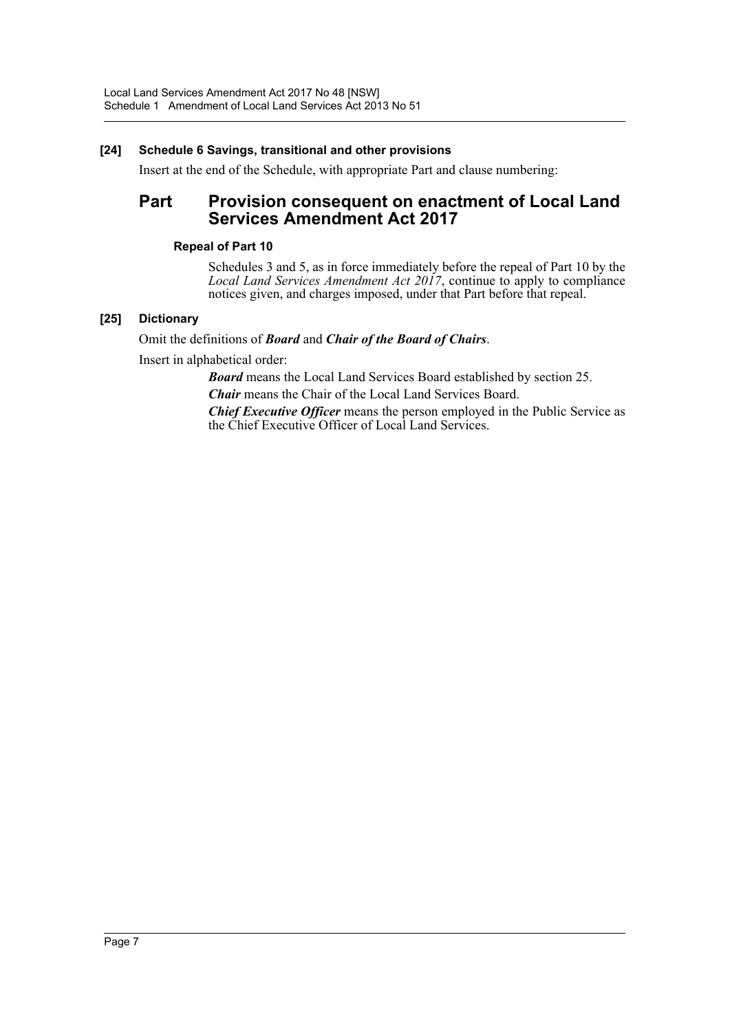## **[24] Schedule 6 Savings, transitional and other provisions**

Insert at the end of the Schedule, with appropriate Part and clause numbering:

## Part Provision consequent on enactment of Local Land **Services Amendment Act 2017**

#### **Repeal of Part 10**

Schedules 3 and 5, as in force immediately before the repeal of Part 10 by the *Local Land Services Amendment Act 2017*, continue to apply to compliance notices given, and charges imposed, under that Part before that repeal.

## **[25] Dictionary**

## Omit the definitions of *Board* and *Chair of the Board of Chairs*.

Insert in alphabetical order:

*Board* means the Local Land Services Board established by section 25.

*Chair* means the Chair of the Local Land Services Board.

*Chief Executive Officer* means the person employed in the Public Service as the Chief Executive Officer of Local Land Services.